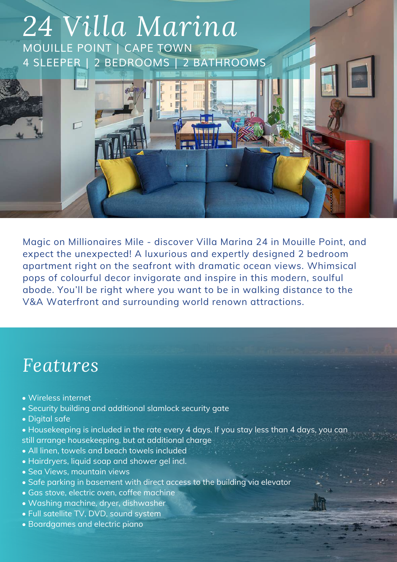

Magic on Millionaires Mile - discover Villa Marina 24 in Mouille Point, and expect the unexpected! A luxurious and expertly designed 2 bedroom apartment right on the seafront with dramatic ocean views. Whimsical pops of colourful decor invigorate and inspire in this modern, soulful abode. You'll be right where you want to be in walking distance to the V&A Waterfront and surrounding world renown attractions.

### *Features*

- Wireless internet
- Security building and additional slamlock security gate
- Digital safe
- Housekeeping is included in the rate every 4 days. If you stay less than 4 days, you can still arrange housekeeping, but at additional charge
- All linen, towels and beach towels included
- Hairdryers, liquid soap and shower gel incl.
- Sea Views, mountain views
- Safe parking in basement with direct access to the building via elevator
- Gas stove, electric oven, coffee machine
- Washing machine, dryer, dishwasher
- Full satellite TV, DVD, sound system
- Boardgames and electric piano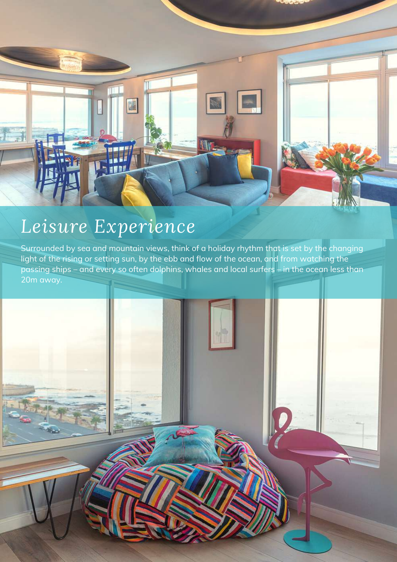

## *Leisure Experience*

Surrounded by sea and mountain views, think of a holiday rhythm that is set by the changing light of the rising or setting sun, by the ebb and flow of the ocean, and from watching the passing ships – and every so often dolphins, whales and local surfers – in the ocean less than 20m away.

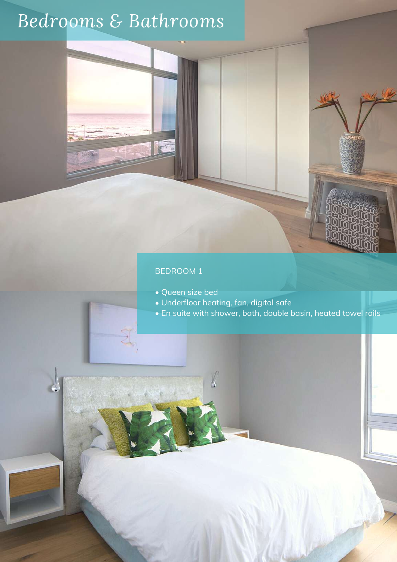# *Bedrooms & Bathrooms*

#### BEDROOM 1

- Queen size bed
- Underfloor heating, fan, digital safe
- En suite with shower, bath, double basin, heated towel rails